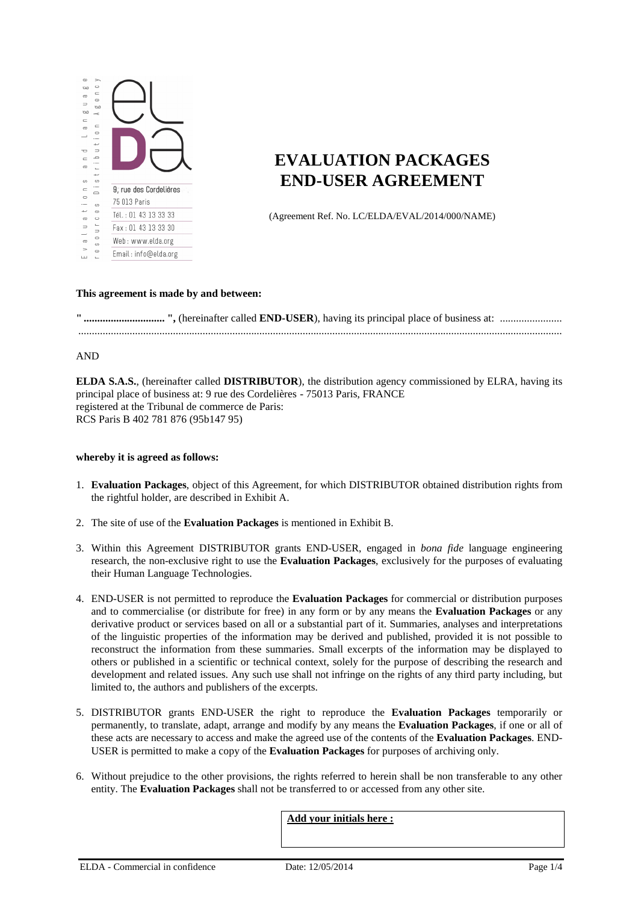

# **EVALUATION PACKAGES END-USER AGREEMENT**

(Agreement Ref. No. LC/ELDA/EVAL/2014/000/NAME)

### **This agreement is made by and between:**

**" .............................. ",** (hereinafter called **END-USER**), having its principal place of business at: ....................... ...................................................................................................................................................................................

### AND

**ELDA S.A.S.**, (hereinafter called **DISTRIBUTOR**), the distribution agency commissioned by ELRA, having its principal place of business at: 9 rue des Cordelières - 75013 Paris, FRANCE registered at the Tribunal de commerce de Paris: RCS Paris B 402 781 876 (95b147 95)

#### **whereby it is agreed as follows:**

- 1. **Evaluation Packages**, object of this Agreement, for which DISTRIBUTOR obtained distribution rights from the rightful holder, are described in Exhibit A.
- 2. The site of use of the **Evaluation Packages** is mentioned in Exhibit B.
- 3. Within this Agreement DISTRIBUTOR grants END-USER, engaged in *bona fide* language engineering research, the non-exclusive right to use the **Evaluation Packages**, exclusively for the purposes of evaluating their Human Language Technologies.
- 4. END-USER is not permitted to reproduce the **Evaluation Packages** for commercial or distribution purposes and to commercialise (or distribute for free) in any form or by any means the **Evaluation Packages** or any derivative product or services based on all or a substantial part of it. Summaries, analyses and interpretations of the linguistic properties of the information may be derived and published, provided it is not possible to reconstruct the information from these summaries. Small excerpts of the information may be displayed to others or published in a scientific or technical context, solely for the purpose of describing the research and development and related issues. Any such use shall not infringe on the rights of any third party including, but limited to, the authors and publishers of the excerpts.
- 5. DISTRIBUTOR grants END-USER the right to reproduce the **Evaluation Packages** temporarily or permanently, to translate, adapt, arrange and modify by any means the **Evaluation Packages**, if one or all of these acts are necessary to access and make the agreed use of the contents of the **Evaluation Packages**. END-USER is permitted to make a copy of the **Evaluation Packages** for purposes of archiving only.
- 6. Without prejudice to the other provisions, the rights referred to herein shall be non transferable to any other entity. The **Evaluation Packages** shall not be transferred to or accessed from any other site.

**Add your initials here :**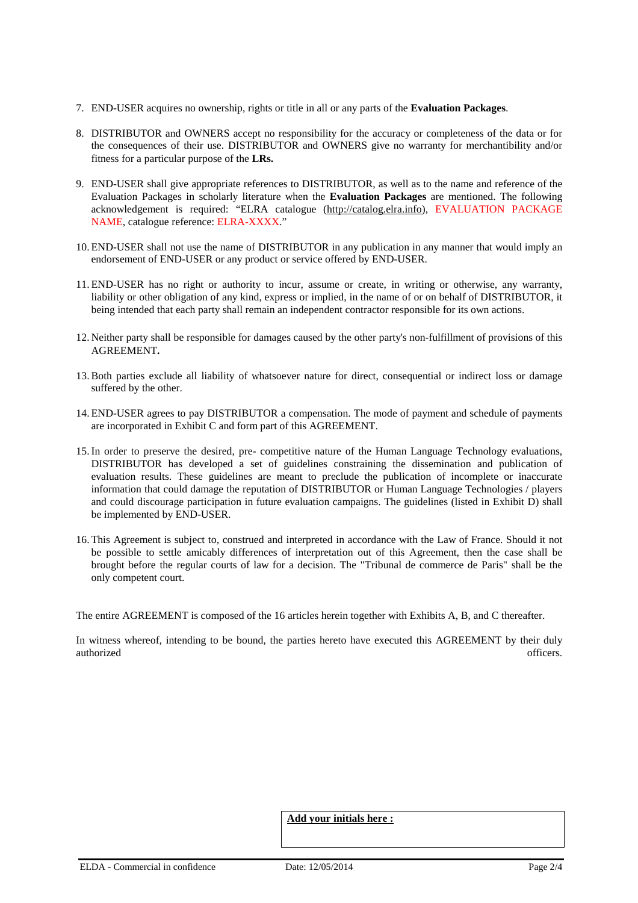- 7. END-USER acquires no ownership, rights or title in all or any parts of the **Evaluation Packages**.
- 8. DISTRIBUTOR and OWNERS accept no responsibility for the accuracy or completeness of the data or for the consequences of their use. DISTRIBUTOR and OWNERS give no warranty for merchantibility and/or fitness for a particular purpose of the **LRs.**
- 9. END-USER shall give appropriate references to DISTRIBUTOR, as well as to the name and reference of the Evaluation Packages in scholarly literature when the **Evaluation Packages** are mentioned. The following acknowledgement is required: "ELRA catalogue (http://catalog.elra.info), EVALUATION PACKAGE NAME, catalogue reference: ELRA-XXXX."
- 10. END-USER shall not use the name of DISTRIBUTOR in any publication in any manner that would imply an endorsement of END-USER or any product or service offered by END-USER.
- 11. END-USER has no right or authority to incur, assume or create, in writing or otherwise, any warranty, liability or other obligation of any kind, express or implied, in the name of or on behalf of DISTRIBUTOR, it being intended that each party shall remain an independent contractor responsible for its own actions.
- 12. Neither party shall be responsible for damages caused by the other party's non-fulfillment of provisions of this AGREEMENT**.**
- 13.Both parties exclude all liability of whatsoever nature for direct, consequential or indirect loss or damage suffered by the other.
- 14. END-USER agrees to pay DISTRIBUTOR a compensation. The mode of payment and schedule of payments are incorporated in Exhibit C and form part of this AGREEMENT.
- 15.In order to preserve the desired, pre- competitive nature of the Human Language Technology evaluations, DISTRIBUTOR has developed a set of guidelines constraining the dissemination and publication of evaluation results. These guidelines are meant to preclude the publication of incomplete or inaccurate information that could damage the reputation of DISTRIBUTOR or Human Language Technologies / players and could discourage participation in future evaluation campaigns. The guidelines (listed in Exhibit D) shall be implemented by END-USER.
- 16. This Agreement is subject to, construed and interpreted in accordance with the Law of France. Should it not be possible to settle amicably differences of interpretation out of this Agreement, then the case shall be brought before the regular courts of law for a decision. The "Tribunal de commerce de Paris" shall be the only competent court.

The entire AGREEMENT is composed of the 16 articles herein together with Exhibits A, B, and C thereafter.

In witness whereof, intending to be bound, the parties hereto have executed this AGREEMENT by their duly authorized officers. The contract of the contract of the contract of the contract of the contract of the contract of the contract of the contract of the contract of the contract of the contract of the contract of the contr

**Add your initials here :**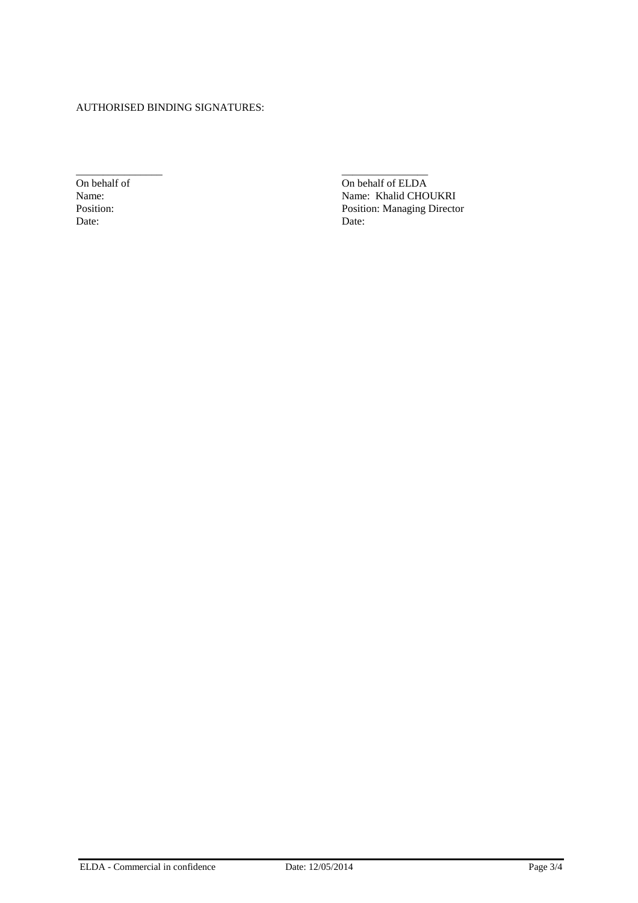### AUTHORISED BINDING SIGNATURES:

Date: Date:

\_\_\_\_\_\_\_\_\_\_\_\_\_\_\_\_ \_\_\_\_\_\_\_\_\_\_\_\_\_\_\_\_ On behalf of CLDA<br>
Name: Name: Khalid CHO Name: Name: Name: Khalid CHOUKRI<br>Position: Position: Position: Nanaging Directory Position: Position: Position: Managing Director Date: Date: